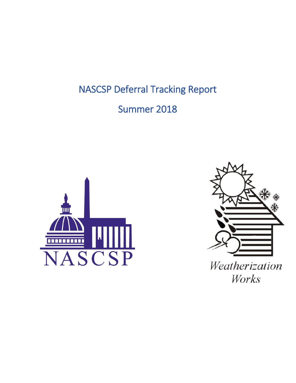NASCSP Deferral Tracking Report

Summer 2018



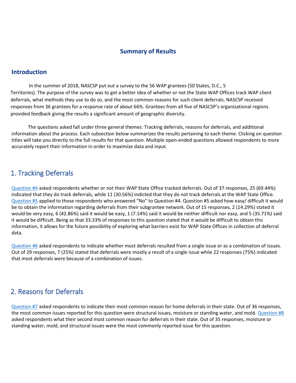#### **Summary of Results**

#### **Introduction**

In the summer of 2018, NASCSP put out a survey to the 56 WAP grantees (50 States, D.C., 5 Territories). The purpose of the survey was to get a better idea of whether or not the State WAP Offices track WAP client deferrals, what methods they use to do so, and the most common reasons for such client deferrals. NASCSP received responses from 36 grantees for a response rate of about 66%. Grantees from all five of NASCSP's organizational regions provided feedback giving the results a significant amount of geographic diversity.

The questions asked fall under three general themes: Tracking deferrals, reasons for deferrals, and additional information about the process. Each subsection below summarizes the results pertaining to each theme. Clicking on question titles will take you directly to the full results for that question. Multiple open-ended questions allowed respondents to more accurately report their information in order to maximize data and input.

#### 1. Tracking Deferrals

[Question #4](#page-2-0) asked respondents whether or not their WAP State Office tracked deferrals. Out of 37 responses, 25 (69.44%) indicated that they do track deferrals, while 11 (30.56%) indicted that they do not track deferrals at the WAP State Office. [Question #5](#page-3-0) applied to those respondents who answered "No" to Question #4. Question #5 asked how easy/ difficult it would be to obtain the information regarding deferrals from their subgrantee network. Out of 15 responses, 2 (14.29%) stated it would be very easy, 6 (42.86%) said it would be easy, 1 (7.14%) said it would be neither difficult nor easy, and 5 (35.71%) said it would be difficult. Being as that 33.33% of responses to this question stated that it would be difficult to obtain this information, it allows for the future possibility of exploring what barriers exist for WAP State Offices in collection of deferral data.

[Question](#page-4-0) #6 asked respondents to indicate whether most deferrals resulted from a single issue or as a combination of issues. Out of 29 responses, 7 (25%) stated that deferrals were mostly a result of a single issue while 22 responses (75%) indicated that most deferrals were because of a combination of issues.

#### 2. Reasons for Deferrals

[Question #7](#page-5-0) asked respondents to indicate their most common reason for home deferrals in their state. Out of 36 responses, the most common issues reported for this question were structural issues, moisture or standing water, and mold. [Question #8](#page-6-0) asked respondents what their second most common reason for deferrals in their state. Out of 35 responses, moisture or standing water, mold, and structural issues were the most commonly reported issue for this question.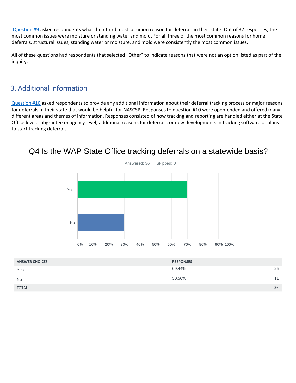[Question #9](#page-7-0) asked respondents what their third most common reason for deferrals in their state. Out of 32 responses, the most common issues were moisture or standing water and mold. For all three of the most common reasons for home deferrals, structural issues, standing water or moisture, and mold were consistently the most common issues.

All of these questions had respondents that selected "Other" to indicate reasons that were not an option listed as part of the inquiry.

#### 3. Additional Information

[Question #10](#page-8-0) asked respondents to provide any additional information about their deferral tracking process or major reasons for deferrals in their state that would be helpful for NASCSP. Responses to question #10 were open-ended and offered many different areas and themes of information. Responses consisted of how tracking and reporting are handled either at the State Office level, subgrantee or agency level; additional reasons for deferrals; or new developments in tracking software or plans to start tracking deferrals.



## <span id="page-2-0"></span>Q4 Is the WAP State Office tracking deferrals on a statewide basis?

| <b>ANSWER CHOICES</b> | <b>RESPONSES</b> |    |
|-----------------------|------------------|----|
| Yes                   | 69.44%           | 25 |
| <b>No</b>             | 30.56%           | 11 |
| <b>TOTAL</b>          |                  | 36 |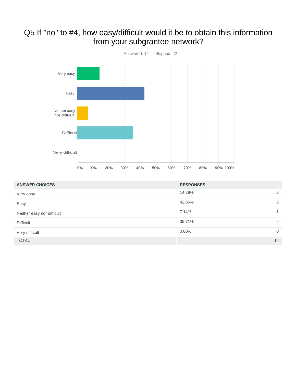### <span id="page-3-0"></span>Q5 If "no" to #4, how easy/difficult would it be to obtain this information from your subgrantee network?



| <b>ANSWER CHOICES</b>      | <b>RESPONSES</b> |              |
|----------------------------|------------------|--------------|
| Very easy                  | 14.29%           | 2            |
| Easy                       | 42.86%           | 6            |
| Neither easy nor difficult | 7.14%            | 1            |
| <b>Difficult</b>           | 35.71%           | 5            |
| Very difficult             | $0.00\%$         | $\mathbf{0}$ |
| <b>TOTAL</b>               |                  | 14           |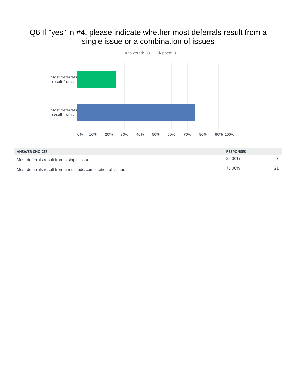## <span id="page-4-0"></span>Q6 If "yes" in #4, please indicate whether most deferrals result from a single issue or a combination of issues



| <b>ANSWER CHOICES</b>                                        | <b>RESPONSES</b> |  |
|--------------------------------------------------------------|------------------|--|
| Most deferrals result from a single issue                    | 25.00%           |  |
| Most deferrals result from a multitude/combination of issues | 75.00%           |  |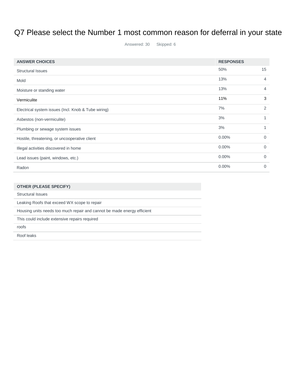# <span id="page-5-0"></span>Q7 Please select the Number 1 most common reason for deferral in your state

Answered: 30 Skipped: 6

| <b>ANSWER CHOICES</b>                               | <b>RESPONSES</b> |             |
|-----------------------------------------------------|------------------|-------------|
| <b>Structural Issues</b>                            | 50%              | 15          |
| Mold                                                | 13%              | 4           |
| Moisture or standing water                          | 13%              | 4           |
| Vermiculite                                         | 11%              | 3           |
| Electrical system issues (Incl. Knob & Tube wiring) | 7%               | 2           |
| Asbestos (non-vermiculite)                          | 3%               | 1           |
| Plumbing or sewage system issues                    | 3%               |             |
| Hostile, threatening, or uncooperative client       | $0.00\%$         | $\Omega$    |
| Illegal activities discovered in home               | 0.00%            | $\mathbf 0$ |
| Lead issues (paint, windows, etc.)                  | $0.00\%$         | $\Omega$    |
| Radon                                               | $0.00\%$         | $\Omega$    |

| <b>OTHER (PLEASE SPECIFY)</b>                                           |
|-------------------------------------------------------------------------|
| Structural Issues                                                       |
| Leaking Roofs that exceed WX scope to repair                            |
| Housing units needs too much repair and cannot be made energy efficient |
| This could include extensive repairs required                           |
| roofs                                                                   |
| Roof leaks                                                              |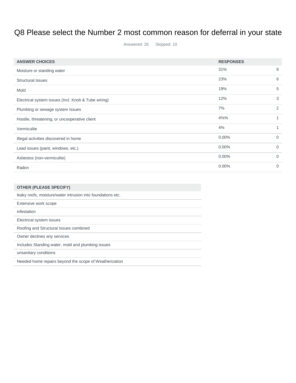# <span id="page-6-0"></span>Q8 Please select the Number 2 most common reason for deferral in your state

Answered: 26 Skipped: 10

| <b>ANSWER CHOICES</b>                               | <b>RESPONSES</b> |                |
|-----------------------------------------------------|------------------|----------------|
| Moisture or standing water                          | 31%              | 8              |
| <b>Structural Issues</b>                            | 23%              | 6              |
| Mold                                                | 19%              | 5              |
| Electrical system issues (Incl. Knob & Tube wiring) | 12%              | 3              |
| Plumbing or sewage system Issues                    | 7%               | $\overline{2}$ |
| Hostile, threatening, or uncooperative client       | 4%%              |                |
| Vermiculite                                         | 4%               |                |
| Illegal activities discovered in home               | $0.00\%$         | $\Omega$       |
| Lead issues (paint, windows, etc.)                  | $0.00\%$         | $\Omega$       |
| Asbestos (non-vermiculite)                          | $0.00\%$         | $\Omega$       |
| Radon                                               | $0.00\%$         | $\Omega$       |

| <b>OTHER (PLEASE SPECIFY)</b>                               |
|-------------------------------------------------------------|
| leaky roofs, moisture/water intrusion into foundations etc. |
| Extensive work scope                                        |
| infestation                                                 |
| Electrical system issues                                    |
| Roofing and Structural Issues combined                      |
| Owner declines any services                                 |
| Includes Standing water, mold and plumbing issues           |
| unsanitary conditions                                       |
| Needed home repairs beyond the scope of Weatherization      |
|                                                             |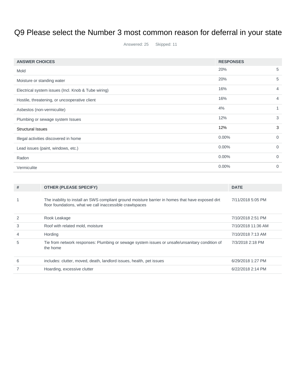# <span id="page-7-0"></span>Q9 Please select the Number 3 most common reason for deferral in your state

Answered: 25 Skipped: 11

| <b>ANSWER CHOICES</b>                               | <b>RESPONSES</b> |                |
|-----------------------------------------------------|------------------|----------------|
| Mold                                                | 20%              | 5              |
| Moisture or standing water                          | 20%              | 5              |
| Electrical system issues (Incl. Knob & Tube wiring) | 16%              | 4              |
| Hostile, threatening, or uncooperative client       | 16%              | 4              |
| Asbestos (non-vermiculite)                          | 4%               | 1              |
| Plumbing or sewage system Issues                    | 12%              | 3              |
| <b>Structural Issues</b>                            | 12%              | 3              |
| Illegal activities discovered in home               | $0.00\%$         | $\overline{0}$ |
| Lead issues (paint, windows, etc.)                  | $0.00\%$         | 0              |
| Radon                                               | $0.00\%$         | $\overline{0}$ |
| Vermiculite                                         | $0.00\%$         | $\Omega$       |

| #              | <b>OTHER (PLEASE SPECIFY)</b>                                                                                                                                 | <b>DATE</b>        |
|----------------|---------------------------------------------------------------------------------------------------------------------------------------------------------------|--------------------|
|                | The inability to install an SWS compliant ground moisture barrier in homes that have exposed dirt<br>floor foundations, what we call inaccessible crawlspaces | 7/11/2018 5:05 PM  |
| 2              | Rook Leakage                                                                                                                                                  | 7/10/2018 2:51 PM  |
| 3              | Roof with related mold, moisture                                                                                                                              | 7/10/2018 11:36 AM |
| $\overline{4}$ | Hording                                                                                                                                                       | 7/10/2018 7:13 AM  |
| 5              | Tie from network responses: Plumbing or sewage system issues or unsafe/unsanitary condition of<br>the home                                                    | 7/3/2018 2:18 PM   |
| 6              | includes: clutter, moved, death, landlord issues, health, pet issues                                                                                          | 6/29/2018 1:27 PM  |
|                | Hoarding, excessive clutter                                                                                                                                   | 6/22/2018 2:14 PM  |
|                |                                                                                                                                                               |                    |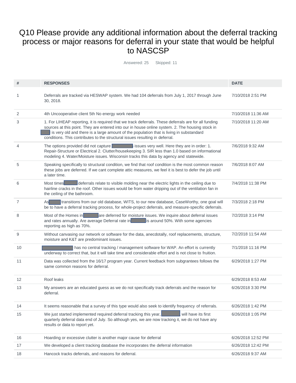### <span id="page-8-0"></span>Q10 Please provide any additional information about the deferral tracking process or major reasons for deferral in your state that would be helpful to NASCSP

Answered: 25 Skipped: 11

| #              | <b>RESPONSES</b>                                                                                                                                                                                                                                                                                                                                                                    | <b>DATE</b>        |
|----------------|-------------------------------------------------------------------------------------------------------------------------------------------------------------------------------------------------------------------------------------------------------------------------------------------------------------------------------------------------------------------------------------|--------------------|
| 1              | Deferrals are tracked via HESWAP system. We had 104 deferrals from July 1, 2017 through June<br>30, 2018.                                                                                                                                                                                                                                                                           | 7/10/2018 2:51 PM  |
| 2              | 4th Uncooperative client 5th No energy work needed                                                                                                                                                                                                                                                                                                                                  | 7/10/2018 11:36 AM |
| 3              | 1. For LIHEAP reporting, it is required that we track deferrals. These deferrals are for all funding<br>sources at this point. They are entered into our in house online system. 2. The housing stock in<br>is very old and there is a large amount of the population that is living in substandard<br>conditions. This contributes to the structural issues resulting in deferral. | 7/10/2018 11:20 AM |
| $\overline{4}$ | The options provided did not capture $\blacksquare$ issues very well. Here they are in order: 1.<br>Repair-Structure or Electrical 2. Clutter/housekeeping 3. SIR less than 1.0 based on informational<br>modeling 4. Water/Moisture issues. Wisconsin tracks this data by agency and statewide.                                                                                    | 7/6/2018 9:32 AM   |
| 5              | Speaking specifically to structural condition, we find that roof condition is the most common reason<br>these jobs are deferred. If we cant complete attic measures, we feel it is best to defer the job until<br>a later time.                                                                                                                                                     | 7/6/2018 8:07 AM   |
| 6              | deferrals relate to visible molding near the electric lights in the ceiling due to<br>Most times<br>hairline cracks in the roof. Other issues would be from water dripping out of the ventilation fan in<br>the ceiling of the bathroom.                                                                                                                                            | 7/4/2018 11:38 PM  |
| 7              | transitions from our old database, WITS, to our new database, CaseWorthy, one goal will<br>As<br>be to have a deferral tracking process, for whole-project deferrals, and measure-specific deferrals.                                                                                                                                                                               | 7/3/2018 2:18 PM   |
| 8              | Most of the Homes in <b>Exercise 2</b> are deferred for moisture issues. We inquire about deferral issues<br>and rates annually. Are average Deferral rate in is around 50%. With some agencies<br>reporting as high as 70%.                                                                                                                                                        | 7/2/2018 3:14 PM   |
| 9              | Without canvasing our network or software for the data, anecdotally, roof replacements, structure,<br>moisture and K&T are predominant issues.                                                                                                                                                                                                                                      | 7/2/2018 11:54 AM  |
| 10             | has no central tracking / management software for WAP. An effort is currently<br>underway to correct that, but it will take time and considerable effort and is not close to fruition.                                                                                                                                                                                              | 7/1/2018 11:16 PM  |
| 11             | Data was collected from the 16/17 program year. Current feedback from subgrantees follows the<br>same common reasons for deferral.                                                                                                                                                                                                                                                  | 6/29/2018 1:27 PM  |
| 12             | Roof leaks                                                                                                                                                                                                                                                                                                                                                                          | 6/29/2018 8:53 AM  |
| 13             | My answers are an educated guess as we do not specifically track deferrals and the reason for<br>deferral.                                                                                                                                                                                                                                                                          | 6/26/2018 3:30 PM  |
| 14             | It seems reasonable that a survey of this type would also seek to identify frequency of referrals.                                                                                                                                                                                                                                                                                  | 6/26/2018 1:42 PM  |
| 15             | We just started implemented required deferral tracking this year,<br>will have its first<br>quarterly deferral data end of July. So although yes, we are now tracking it, we do not have any<br>results or data to report yet.                                                                                                                                                      | 6/26/2018 1:05 PM  |
| 16             | Hoarding or excessive clutter is another major cause for deferral                                                                                                                                                                                                                                                                                                                   | 6/26/2018 12:52 PM |
| 17             | We developed a client tracking database the incorporates the deferral information                                                                                                                                                                                                                                                                                                   | 6/26/2018 12:42 PM |
| 18             | Hancock tracks deferrals, and reasons for deferral.                                                                                                                                                                                                                                                                                                                                 | 6/26/2018 9:37 AM  |